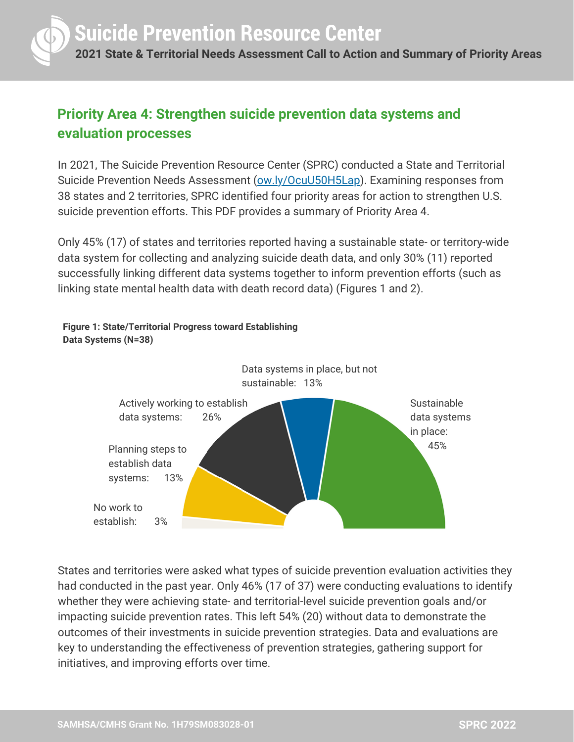

## **Priority Area 4: Strengthen suicide prevention data systems and evaluation processes**

In 2021, The Suicide Prevention Resource Center (SPRC) conducted a State and Territorial Suicide Prevention Needs Assessment [\(ow.ly/OcuU50H5Lap](http://ow.ly/OcuU50H5Lap)). Examining responses from 38 states and 2 territories, SPRC identified four priority areas for action to strengthen U.S. suicide prevention efforts. This PDF provides a summary of Priority Area 4.

Only 45% (17) of states and territories reported having a sustainable state- or territory-wide data system for collecting and analyzing suicide death data, and only 30% (11) reported successfully linking different data systems together to inform prevention efforts (such as linking state mental health data with death record data) (Figures 1 and 2).

### **Figure 1: State/Territorial Progress toward Establishing Data Systems (N=38)** Actively working to establish data systems: 26% Data systems in place, but not sustainable: 13% Sustainable data systems in place: Planning steps to 45% establish data systems: 13% No work to establish: 3%

States and territories were asked what types of suicide prevention evaluation activities they had conducted in the past year. Only 46% (17 of 37) were conducting evaluations to identify whether they were achieving state- and territorial-level suicide prevention goals and/or impacting suicide prevention rates. This left 54% (20) without data to demonstrate the outcomes of their investments in suicide prevention strategies. Data and evaluations are key to understanding the effectiveness of prevention strategies, gathering support for initiatives, and improving efforts over time.